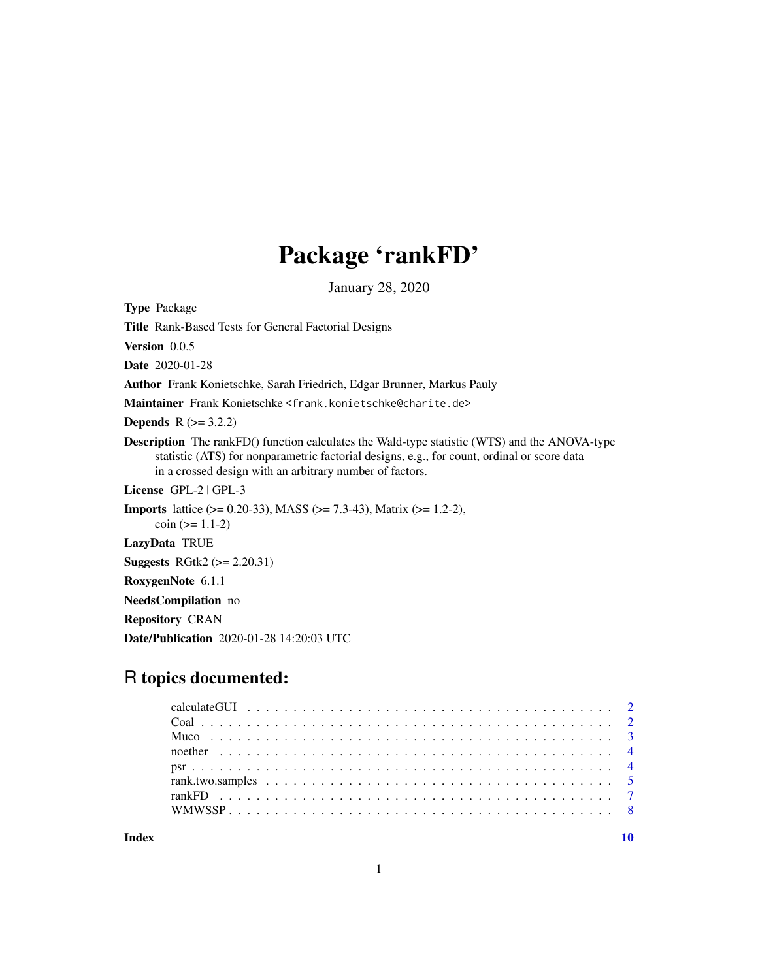## Package 'rankFD'

January 28, 2020

<span id="page-0-0"></span>Type Package Title Rank-Based Tests for General Factorial Designs Version 0.0.5 Date 2020-01-28 Author Frank Konietschke, Sarah Friedrich, Edgar Brunner, Markus Pauly Maintainer Frank Konietschke <frank.konietschke@charite.de> **Depends**  $R$  ( $>= 3.2.2$ ) Description The rankFD() function calculates the Wald-type statistic (WTS) and the ANOVA-type statistic (ATS) for nonparametric factorial designs, e.g., for count, ordinal or score data in a crossed design with an arbitrary number of factors. License GPL-2 | GPL-3 **Imports** lattice ( $> = 0.20-33$ ), MASS ( $> = 7.3-43$ ), Matrix ( $> = 1.2-2$ ),  $\cosh$  ( $> = 1.1-2$ ) LazyData TRUE Suggests RGtk2 (>= 2.20.31) RoxygenNote 6.1.1 NeedsCompilation no Repository CRAN Date/Publication 2020-01-28 14:20:03 UTC

## R topics documented:

 $\blacksquare$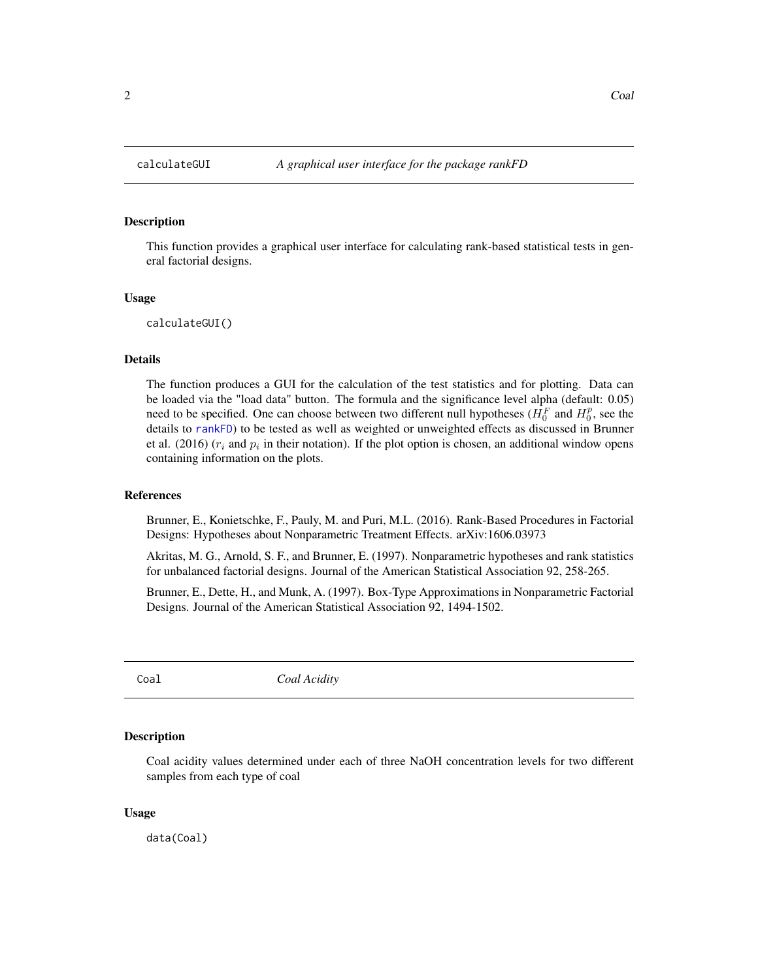#### <span id="page-1-0"></span>Description

This function provides a graphical user interface for calculating rank-based statistical tests in general factorial designs.

#### Usage

calculateGUI()

#### Details

The function produces a GUI for the calculation of the test statistics and for plotting. Data can be loaded via the "load data" button. The formula and the significance level alpha (default: 0.05) need to be specified. One can choose between two different null hypotheses ( $H_0^F$  and  $H_0^p$ , see the details to [rankFD](#page-6-1)) to be tested as well as weighted or unweighted effects as discussed in Brunner et al. (2016) ( $r_i$  and  $p_i$  in their notation). If the plot option is chosen, an additional window opens containing information on the plots.

#### References

Brunner, E., Konietschke, F., Pauly, M. and Puri, M.L. (2016). Rank-Based Procedures in Factorial Designs: Hypotheses about Nonparametric Treatment Effects. arXiv:1606.03973

Akritas, M. G., Arnold, S. F., and Brunner, E. (1997). Nonparametric hypotheses and rank statistics for unbalanced factorial designs. Journal of the American Statistical Association 92, 258-265.

Brunner, E., Dette, H., and Munk, A. (1997). Box-Type Approximations in Nonparametric Factorial Designs. Journal of the American Statistical Association 92, 1494-1502.

Coal *Coal Acidity*

#### **Description**

Coal acidity values determined under each of three NaOH concentration levels for two different samples from each type of coal

#### Usage

data(Coal)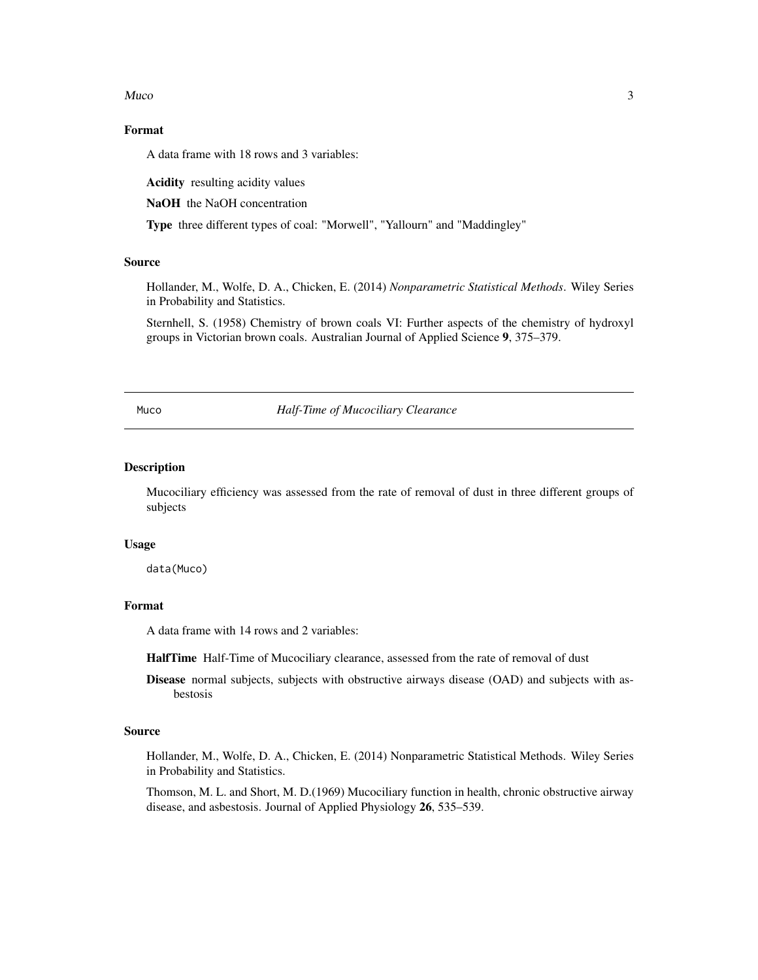<span id="page-2-0"></span> $Mucc$  3

## Format

A data frame with 18 rows and 3 variables:

Acidity resulting acidity values

NaOH the NaOH concentration

Type three different types of coal: "Morwell", "Yallourn" and "Maddingley"

#### Source

Hollander, M., Wolfe, D. A., Chicken, E. (2014) *Nonparametric Statistical Methods*. Wiley Series in Probability and Statistics.

Sternhell, S. (1958) Chemistry of brown coals VI: Further aspects of the chemistry of hydroxyl groups in Victorian brown coals. Australian Journal of Applied Science 9, 375–379.

Muco *Half-Time of Mucociliary Clearance*

#### Description

Mucociliary efficiency was assessed from the rate of removal of dust in three different groups of subjects

#### Usage

data(Muco)

## Format

A data frame with 14 rows and 2 variables:

HalfTime Half-Time of Mucociliary clearance, assessed from the rate of removal of dust

Disease normal subjects, subjects with obstructive airways disease (OAD) and subjects with asbestosis

#### Source

Hollander, M., Wolfe, D. A., Chicken, E. (2014) Nonparametric Statistical Methods. Wiley Series in Probability and Statistics.

Thomson, M. L. and Short, M. D.(1969) Mucociliary function in health, chronic obstructive airway disease, and asbestosis. Journal of Applied Physiology 26, 535–539.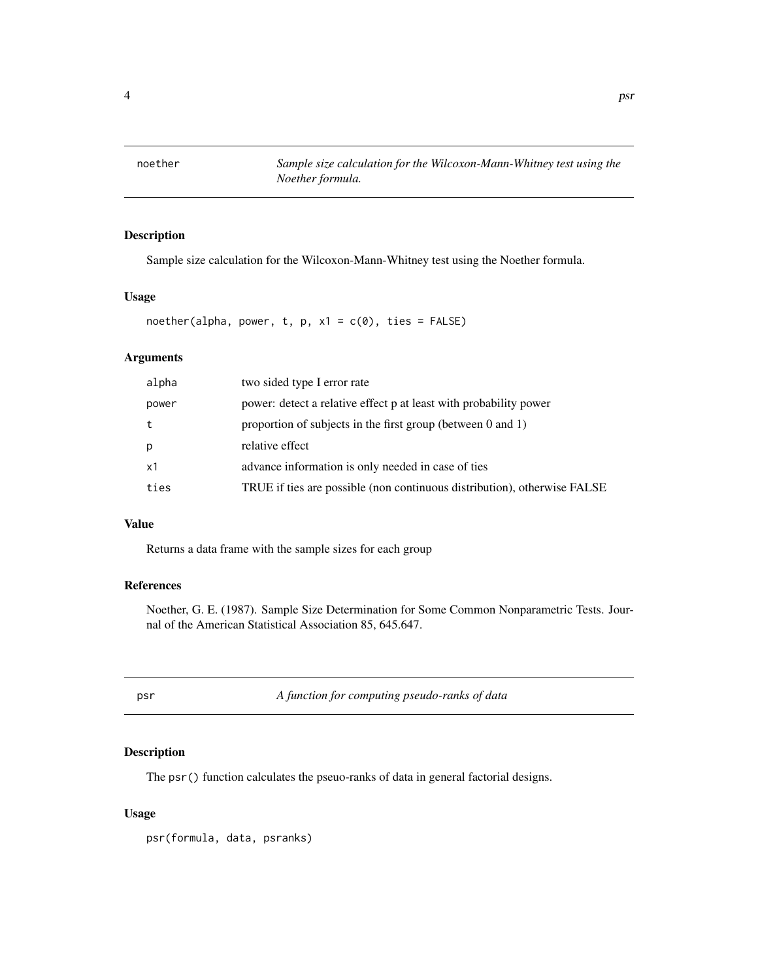## <span id="page-3-0"></span>Description

Sample size calculation for the Wilcoxon-Mann-Whitney test using the Noether formula.

#### Usage

noether(alpha, power, t, p,  $x1 = c(0)$ , ties = FALSE)

## Arguments

| alpha | two sided type I error rate                                              |
|-------|--------------------------------------------------------------------------|
| power | power: detect a relative effect p at least with probability power        |
| t     | proportion of subjects in the first group (between $0$ and $1$ )         |
| p     | relative effect                                                          |
| x1    | advance information is only needed in case of ties                       |
| ties  | TRUE if ties are possible (non continuous distribution), otherwise FALSE |
|       |                                                                          |

## Value

Returns a data frame with the sample sizes for each group

## References

Noether, G. E. (1987). Sample Size Determination for Some Common Nonparametric Tests. Journal of the American Statistical Association 85, 645.647.

psr *A function for computing pseudo-ranks of data*

#### Description

The psr() function calculates the pseuo-ranks of data in general factorial designs.

#### Usage

psr(formula, data, psranks)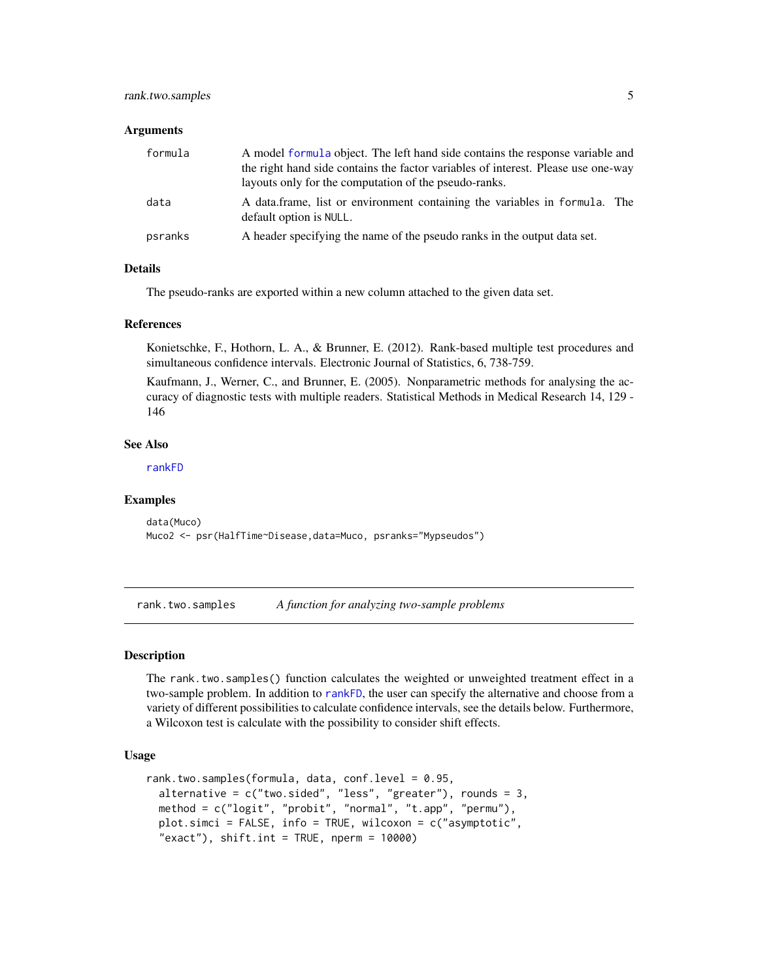#### <span id="page-4-0"></span>**Arguments**

| formula | A model formula object. The left hand side contains the response variable and<br>the right hand side contains the factor variables of interest. Please use one-way<br>layouts only for the computation of the pseudo-ranks. |  |
|---------|-----------------------------------------------------------------------------------------------------------------------------------------------------------------------------------------------------------------------------|--|
| data    | A data frame, list or environment containing the variables in formula. The<br>default option is NULL.                                                                                                                       |  |
| psranks | A header specifying the name of the pseudo ranks in the output data set.                                                                                                                                                    |  |

#### **Details**

The pseudo-ranks are exported within a new column attached to the given data set.

#### References

Konietschke, F., Hothorn, L. A., & Brunner, E. (2012). Rank-based multiple test procedures and simultaneous confidence intervals. Electronic Journal of Statistics, 6, 738-759.

Kaufmann, J., Werner, C., and Brunner, E. (2005). Nonparametric methods for analysing the accuracy of diagnostic tests with multiple readers. Statistical Methods in Medical Research 14, 129 - 146

#### See Also

[rankFD](#page-6-1)

#### Examples

data(Muco) Muco2 <- psr(HalfTime~Disease,data=Muco, psranks="Mypseudos")

rank.two.samples *A function for analyzing two-sample problems*

#### Description

The rank.two.samples() function calculates the weighted or unweighted treatment effect in a two-sample problem. In addition to [rankFD](#page-6-1), the user can specify the alternative and choose from a variety of different possibilities to calculate confidence intervals, see the details below. Furthermore, a Wilcoxon test is calculate with the possibility to consider shift effects.

#### Usage

```
rank.two.samples(formula, data, conf.level = 0.95,
  alternative = c("two.sided", "less", "greater"), rounds = 3,
 method = c("logit", "probit", "normal", "t.app", "permu"),
 plot.simci = FALSE, info = TRUE, wilcoxon = c("asymptotic",
  "exact"), shift.int = TRUE, nperm = 10000)
```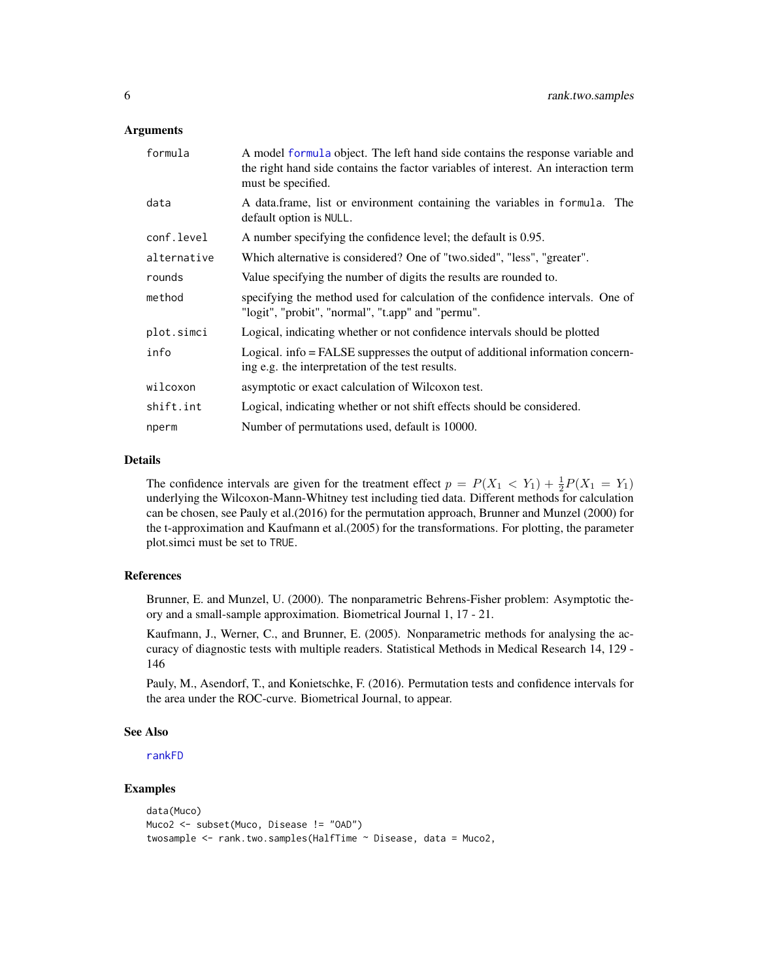#### <span id="page-5-0"></span>Arguments

| formula     | A model formula object. The left hand side contains the response variable and<br>the right hand side contains the factor variables of interest. An interaction term<br>must be specified. |  |
|-------------|-------------------------------------------------------------------------------------------------------------------------------------------------------------------------------------------|--|
| data        | A data frame, list or environment containing the variables in formula. The<br>default option is NULL.                                                                                     |  |
| conf.level  | A number specifying the confidence level; the default is 0.95.                                                                                                                            |  |
| alternative | Which alternative is considered? One of "two.sided", "less", "greater".                                                                                                                   |  |
| rounds      | Value specifying the number of digits the results are rounded to.                                                                                                                         |  |
| method      | specifying the method used for calculation of the confidence intervals. One of<br>"logit", "probit", "normal", "t.app" and "permu".                                                       |  |
| plot.simci  | Logical, indicating whether or not confidence intervals should be plotted                                                                                                                 |  |
| info        | Logical. info = FALSE suppresses the output of additional information concern-<br>ing e.g. the interpretation of the test results.                                                        |  |
| wilcoxon    | asymptotic or exact calculation of Wilcoxon test.                                                                                                                                         |  |
| shift.int   | Logical, indicating whether or not shift effects should be considered.                                                                                                                    |  |
| nperm       | Number of permutations used, default is 10000.                                                                                                                                            |  |

#### Details

The confidence intervals are given for the treatment effect  $p = P(X_1 < Y_1) + \frac{1}{2}P(X_1 = Y_1)$ underlying the Wilcoxon-Mann-Whitney test including tied data. Different methods for calculation can be chosen, see Pauly et al.(2016) for the permutation approach, Brunner and Munzel (2000) for the t-approximation and Kaufmann et al.(2005) for the transformations. For plotting, the parameter plot.simci must be set to TRUE.

#### References

Brunner, E. and Munzel, U. (2000). The nonparametric Behrens-Fisher problem: Asymptotic theory and a small-sample approximation. Biometrical Journal 1, 17 - 21.

Kaufmann, J., Werner, C., and Brunner, E. (2005). Nonparametric methods for analysing the accuracy of diagnostic tests with multiple readers. Statistical Methods in Medical Research 14, 129 - 146

Pauly, M., Asendorf, T., and Konietschke, F. (2016). Permutation tests and confidence intervals for the area under the ROC-curve. Biometrical Journal, to appear.

#### See Also

[rankFD](#page-6-1)

## Examples

```
data(Muco)
Muco2 <- subset(Muco, Disease != "OAD")
twosample <- rank.two.samples(HalfTime ~ Disease, data = Muco2,
```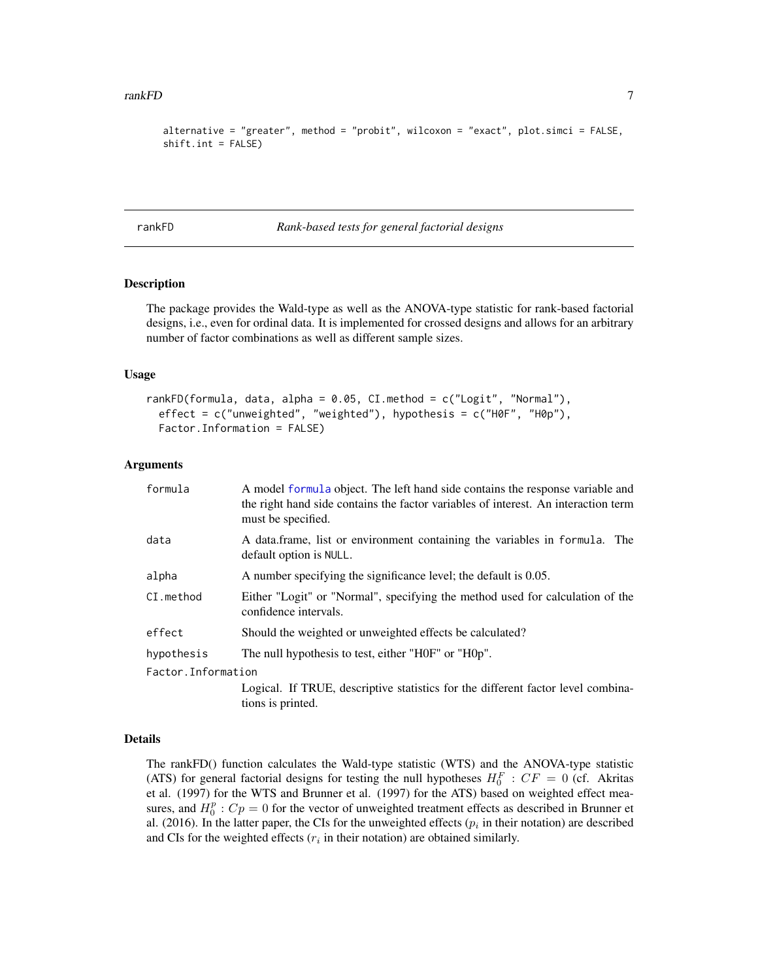#### <span id="page-6-0"></span>rankFD 7 and 7 and 7 and 7 and 7 and 7 and 7 and 7 and 7 and 7 and 7 and 7 and 7 and 7 and 7 and 7 and 7 and 7

```
alternative = "greater", method = "probit", wilcoxon = "exact", plot.simci = FALSE,
shift.int = FALSE)
```
<span id="page-6-1"></span>rankFD *Rank-based tests for general factorial designs*

#### Description

The package provides the Wald-type as well as the ANOVA-type statistic for rank-based factorial designs, i.e., even for ordinal data. It is implemented for crossed designs and allows for an arbitrary number of factor combinations as well as different sample sizes.

#### Usage

```
rankFD(formula, data, alpha = 0.05, CI.method = c("Logit", "Normal"),
  effect = c("unweighted", "weighted"), hypothesis = c("H0F", "H0p"),
 Factor.Information = FALSE)
```
#### Arguments

| formula             | A model formula object. The left hand side contains the response variable and<br>the right hand side contains the factor variables of interest. An interaction term<br>must be specified. |  |
|---------------------|-------------------------------------------------------------------------------------------------------------------------------------------------------------------------------------------|--|
| data                | A data frame, list or environment containing the variables in formula. The<br>default option is NULL.                                                                                     |  |
| alpha               | A number specifying the significance level; the default is 0.05.                                                                                                                          |  |
| CI.method           | Either "Logit" or "Normal", specifying the method used for calculation of the<br>confidence intervals.                                                                                    |  |
| effect              | Should the weighted or unweighted effects be calculated?                                                                                                                                  |  |
| hypothesis          | The null hypothesis to test, either "H0F" or "H0p".                                                                                                                                       |  |
| Factor. Information |                                                                                                                                                                                           |  |
|                     | Logical. If TRUE, descriptive statistics for the different factor level combina-<br>tions is printed.                                                                                     |  |

#### Details

The rankFD() function calculates the Wald-type statistic (WTS) and the ANOVA-type statistic (ATS) for general factorial designs for testing the null hypotheses  $H_0^F$ :  $CF = 0$  (cf. Akritas et al. (1997) for the WTS and Brunner et al. (1997) for the ATS) based on weighted effect measures, and  $H_0^p$ :  $Cp = 0$  for the vector of unweighted treatment effects as described in Brunner et al. (2016). In the latter paper, the CIs for the unweighted effects ( $p_i$  in their notation) are described and CIs for the weighted effects  $(r<sub>i</sub>$  in their notation) are obtained similarly.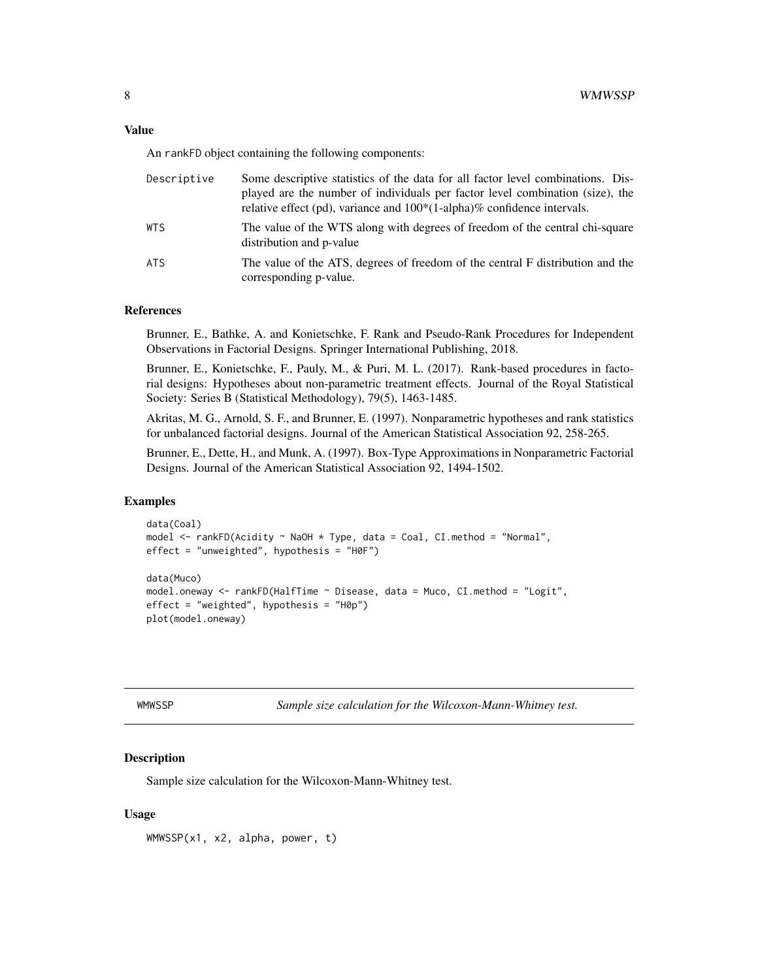#### <span id="page-7-0"></span>Value

An rankFD object containing the following components:

| Descriptive | Some descriptive statistics of the data for all factor level combinations. Dis-<br>played are the number of individuals per factor level combination (size), the<br>relative effect (pd), variance and $100*(1$ -alpha)% confidence intervals. |
|-------------|------------------------------------------------------------------------------------------------------------------------------------------------------------------------------------------------------------------------------------------------|
| WTS         | The value of the WTS along with degrees of freedom of the central chi-square<br>distribution and p-value                                                                                                                                       |
| ATS         | The value of the ATS, degrees of freedom of the central F distribution and the<br>corresponding p-value.                                                                                                                                       |

#### References

Brunner, E., Bathke, A. and Konietschke, F. Rank and Pseudo-Rank Procedures for Independent Observations in Factorial Designs. Springer International Publishing, 2018.

Brunner, E., Konietschke, F., Pauly, M., & Puri, M. L. (2017). Rank-based procedures in factorial designs: Hypotheses about non-parametric treatment effects. Journal of the Royal Statistical Society: Series B (Statistical Methodology), 79(5), 1463-1485.

Akritas, M. G., Arnold, S. F., and Brunner, E. (1997). Nonparametric hypotheses and rank statistics for unbalanced factorial designs. Journal of the American Statistical Association 92, 258-265.

Brunner, E., Dette, H., and Munk, A. (1997). Box-Type Approximations in Nonparametric Factorial Designs. Journal of the American Statistical Association 92, 1494-1502.

#### Examples

```
data(Coal)
model <- rankFD(Acidity ~ NaOH * Type, data = Coal, CI.method = "Normal",
effect = "unweighted", hypothesis = "H0F")
data(Muco)
model.oneway <- rankFD(HalfTime ~ Disease, data = Muco, CI.method = "Logit",
effect = "weighted", hypothesis = "H0p")
plot(model.oneway)
```
WMWSSP *Sample size calculation for the Wilcoxon-Mann-Whitney test.*

#### Description

Sample size calculation for the Wilcoxon-Mann-Whitney test.

#### Usage

WMWSSP(x1, x2, alpha, power, t)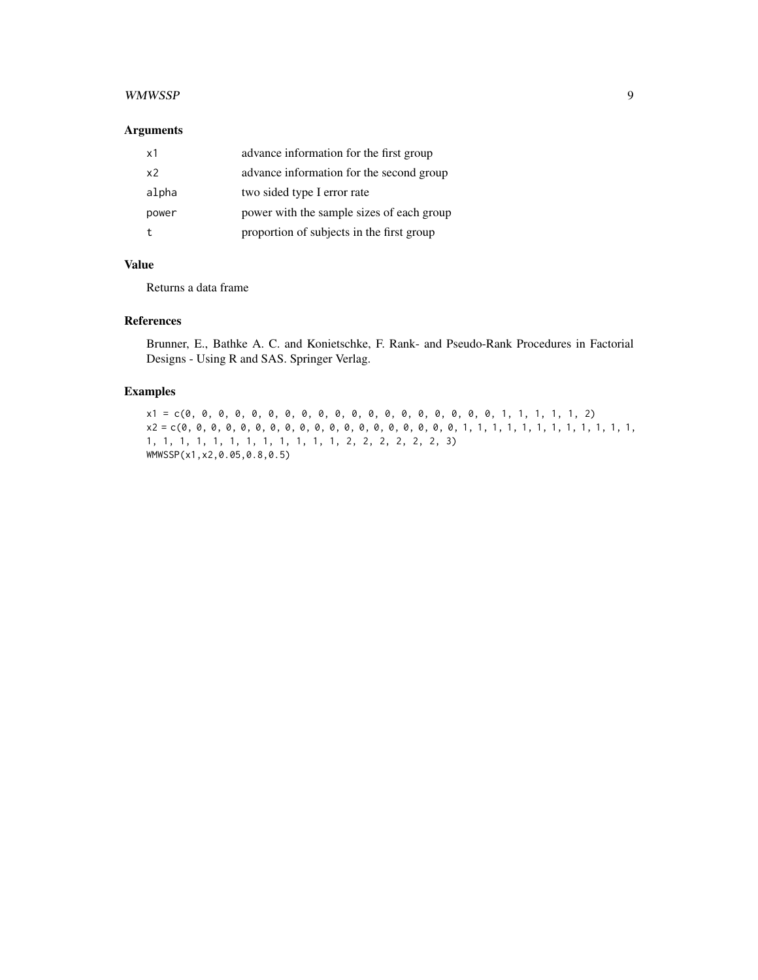#### WMWSSP 9

#### Arguments

| x1    | advance information for the first group   |
|-------|-------------------------------------------|
| x2    | advance information for the second group  |
| alpha | two sided type I error rate               |
| power | power with the sample sizes of each group |
|       | proportion of subjects in the first group |

## Value

Returns a data frame

## References

Brunner, E., Bathke A. C. and Konietschke, F. Rank- and Pseudo-Rank Procedures in Factorial Designs - Using R and SAS. Springer Verlag.

## Examples

x1 = c(0, 0, 0, 0, 0, 0, 0, 0, 0, 0, 0, 0, 0, 0, 0, 0, 0, 0, 0, 1, 1, 1, 1, 1, 2) x2 = c(0, 0, 0, 0, 0, 0, 0, 0, 0, 0, 0, 0, 0, 0, 0, 0, 0, 0, 0, 1, 1, 1, 1, 1, 1, 1, 1, 1, 1, 1, 1, 1, 1, 1, 1, 1, 1, 1, 1, 1, 1, 1, 1, 2, 2, 2, 2, 2, 2, 3) WMWSSP(x1,x2,0.05,0.8,0.5)